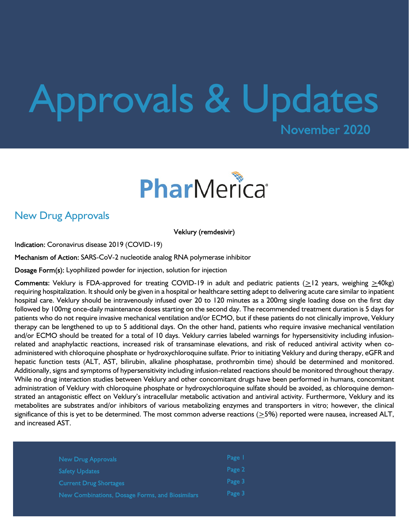# Approvals & Updates



## New Drug Approvals

Veklury (remdesivir)

Indication: Coronavirus disease 2019 (COVID-19)

Mechanism of Action: SARS-CoV-2 nucleotide analog RNA polymerase inhibitor

Dosage Form(s): Lyophilized powder for injection, solution for injection

Comments: Veklury is FDA-approved for treating COVID-19 in adult and pediatric patients  $(>12$  years, weighing  $>40$ kg) requiring hospitalization. It should only be given in a hospital or healthcare setting adept to delivering acute care similar to inpatient hospital care. Veklury should be intravenously infused over 20 to 120 minutes as a 200mg single loading dose on the first day followed by 100mg once-daily maintenance doses starting on the second day. The recommended treatment duration is 5 days for patients who do not require invasive mechanical ventilation and/or ECMO, but if these patients do not clinically improve, Veklury therapy can be lengthened to up to 5 additional days. On the other hand, patients who require invasive mechanical ventilation and/or ECMO should be treated for a total of 10 days. Veklury carries labeled warnings for hypersensitivity including infusionrelated and anaphylactic reactions, increased risk of transaminase elevations, and risk of reduced antiviral activity when coadministered with chloroquine phosphate or hydroxychloroquine sulfate. Prior to initiating Veklury and during therapy, eGFR and hepatic function tests (ALT, AST, bilirubin, alkaline phosphatase, prothrombin time) should be determined and monitored. Additionally, signs and symptoms of hypersensitivity including infusion-related reactions should be monitored throughout therapy. While no drug interaction studies between Veklury and other concomitant drugs have been performed in humans, concomitant administration of Veklury with chloroquine phosphate or hydroxychloroquine sulfate should be avoided, as chloroquine demonstrated an antagonistic effect on Veklury's intracellular metabolic activation and antiviral activity. Furthermore, Veklury and its metabolites are substrates and/or inhibitors of various metabolizing enzymes and transporters in vitro; however, the clinical significance of this is yet to be determined. The most common adverse reactions  $(≥5%)$  reported were nausea, increased ALT, and increased AST.

| New Drug Approvals                              | Page I |  |
|-------------------------------------------------|--------|--|
| <b>Safety Updates</b>                           | Page 2 |  |
| <b>Current Drug Shortages</b>                   | Page 3 |  |
| New Combinations, Dosage Forms, and Biosimilars | Page 3 |  |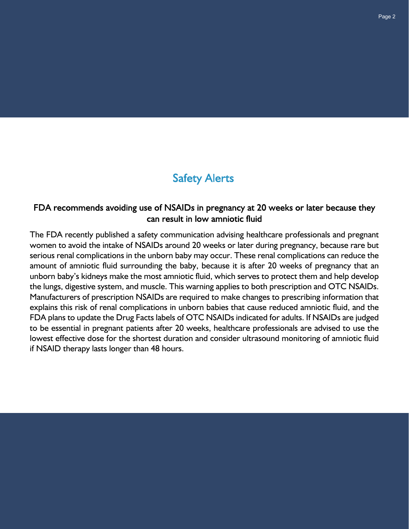# **Safety Alerts**

### FDA recommends avoiding use of NSAIDs in pregnancy at 20 weeks or later because they can result in low amniotic fluid

The FDA recently published a safety communication advising healthcare professionals and pregnant women to avoid the intake of NSAIDs around 20 weeks or later during pregnancy, because rare but serious renal complications in the unborn baby may occur. These renal complications can reduce the amount of amniotic fluid surrounding the baby, because it is after 20 weeks of pregnancy that an unborn baby's kidneys make the most amniotic fluid, which serves to protect them and help develop the lungs, digestive system, and muscle. This warning applies to both prescription and OTC NSAIDs. Manufacturers of prescription NSAIDs are required to make changes to prescribing information that explains this risk of renal complications in unborn babies that cause reduced amniotic fluid, and the FDA plans to update the Drug Facts labels of OTC NSAIDs indicated for adults. If NSAIDs are judged to be essential in pregnant patients after 20 weeks, healthcare professionals are advised to use the lowest effective dose for the shortest duration and consider ultrasound monitoring of amniotic fluid if NSAID therapy lasts longer than 48 hours.